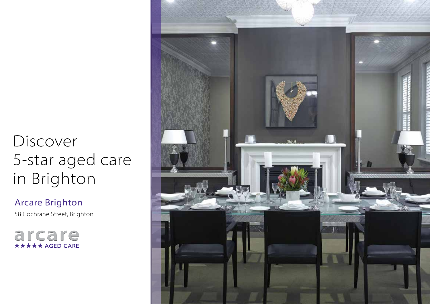# Discover 5-star aged care in Brighton

Arcare Brighton 58 Cochrane Street, Brighton

arcare **\*\*\*\*\*** AGED CARE

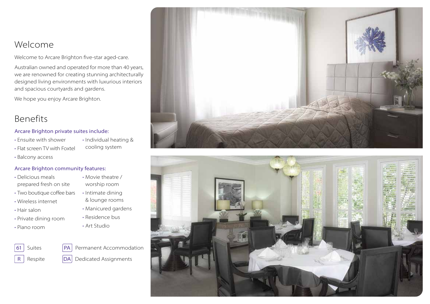### Welcome

Welcome to Arcare Brighton five-star aged-care.

Australian owned and operated for more than 40 years, we are renowned for creating stunning architecturally designed living environments with luxurious interiors and spacious courtyards and gardens.

We hope you enjoy Arcare Brighton.

### Benefits

Arcare Brighton private suites include:

• Ensuite with shower

• Flat screen TV with Foxtel

- Individual heating & cooling system
- Balcony access

#### Arcare Brighton community features:

- Delicious meals prepared fresh on site
- Two boutique coffee bars
- Wireless internet
- Hair salon
- Private dining room
- Piano room
- 
- 
- Movie theatre / worship room • Intimate dining
- & lounge rooms
- Manicured gardens
- Residence bus
- Art Studio



 $R$  Respite  $|DA|$  Dedicated Assignments



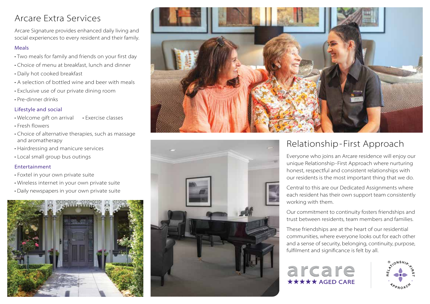### Arcare Extra Services

Arcare Signature provides enhanced daily living and social experiences to every resident and their family.

#### Meals

- Two meals for family and friends on your first day
- Choice of menu at breakfast, lunch and dinner
- Daily hot cooked breakfast
- A selection of bottled wine and beer with meals
- Exclusive use of our private dining room
- Pre-dinner drinks

#### Lifestyle and social

- Welcome gift on arrival • Exercise classes
- Fresh flowers
- Choice of alternative therapies, such as massage and aromatherapy
- Hairdressing and manicure services
- Local small group bus outings

#### Entertainment

- Foxtel in your own private suite
- Wireless internet in your own private suite
- Daily newspapers in your own private suite







# Relationship-First Approach

Everyone who joins an Arcare residence will enjoy our unique Relationship-First Approach where nurturing honest, respectful and consistent relationships with our residents is the most important thing that we do.

Central to this are our Dedicated Assignments where each resident has their own support team consistently working with them.

Our commitment to continuity fosters friendships and trust between residents, team members and families.

These friendships are at the heart of our residential communities, where everyone looks out for each other and a sense of security, belonging, continuity, purpose, fulfilment and significance is felt by all.